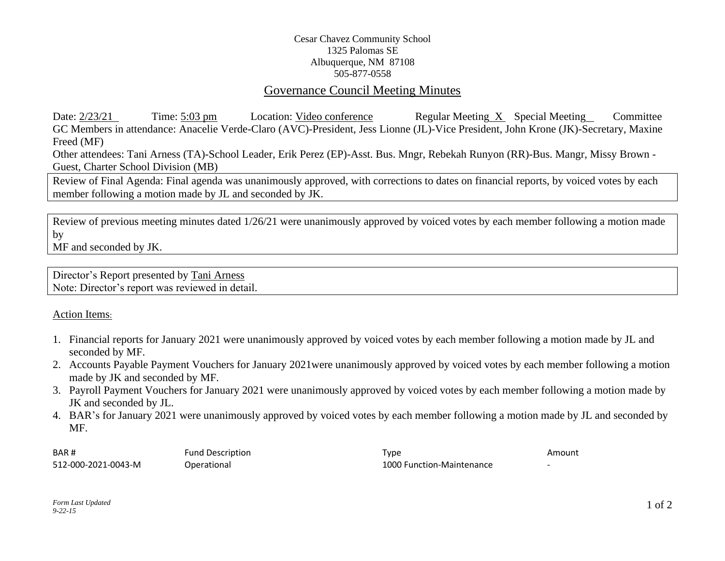## Cesar Chavez Community School 1325 Palomas SE Albuquerque, NM 87108 505-877-0558

## Governance Council Meeting Minutes

Date: 2/23/21 Time: 5:03 pm Location: Video conference Regular Meeting X Special Meeting Committee GC Members in attendance: Anacelie Verde-Claro (AVC)-President, Jess Lionne (JL)-Vice President, John Krone (JK)-Secretary, Maxine Freed (MF)

Other attendees: Tani Arness (TA)-School Leader, Erik Perez (EP)-Asst. Bus. Mngr, Rebekah Runyon (RR)-Bus. Mangr, Missy Brown - Guest, Charter School Division (MB)

Review of Final Agenda: Final agenda was unanimously approved, with corrections to dates on financial reports, by voiced votes by each member following a motion made by JL and seconded by JK.

Review of previous meeting minutes dated 1/26/21 were unanimously approved by voiced votes by each member following a motion made by MF and seconded by JK.

Director's Report presented by Tani Arness Note: Director's report was reviewed in detail.

Action Items:

- 1. Financial reports for January 2021 were unanimously approved by voiced votes by each member following a motion made by JL and seconded by MF.
- 2. Accounts Payable Payment Vouchers for January 2021were unanimously approved by voiced votes by each member following a motion made by JK and seconded by MF.
- 3. Payroll Payment Vouchers for January 2021 were unanimously approved by voiced votes by each member following a motion made by JK and seconded by JL.
- 4. BAR's for January 2021 were unanimously approved by voiced votes by each member following a motion made by JL and seconded by MF.

BAR # Fund Description **Fund Description** Amount Communication **Type Amount** Amount 512-000-2021-0043-M Operational 1000 Function-Maintenance -

*Form Last Updated 9-22-15*